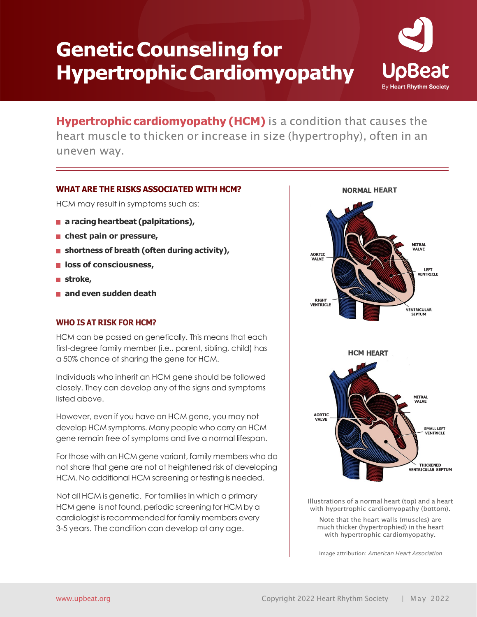# **Genetic Counseling for Hypertrophic Cardiomyopathy**



Hypertrophic cardiomyopathy (HCM) is a condition that causes the heart muscle to thicken or increase in size (hypertrophy), often in an uneven way.

# **WHAT ARE THE RISKS ASSOCIATED WITH HCM?**

HCM may result in symptoms such as:

- **a racing heartbeat (palpitations)**,
- **chest pain or pressure,**
- **shortness of breath (often during activity),**
- **loss of consciousness,**
- **stroke,**
- **and even sudden death**

#### **WHO IS AT RISK FOR HCM?**

HCM can be passed on genetically. This means that each first-degree family member (i.e., parent, sibling, child) has a 50% chance of sharing the gene for HCM.

Individuals who inherit an HCM gene should be followed closely. They can develop any of the signs and symptoms listed above.

However, even if you have an HCM gene, you may not develop HCM symptoms. Many people who carry an HCM gene remain free of symptoms and live a normal lifespan.

For those with an HCM gene variant, family members who do not share that gene are not at heightened risk of developing HCM. No additional HCM screening or testing is needed.

Not all HCM is genetic. For families in which a primary HCM gene is not found, periodic screening for HCM by a cardiologist is recommended for family members every 3-5 years. The condition can develop at any age.



Illustrations of a normal heart (top) and a heart with hypertrophic cardiomyopathy (bottom).

Note that the heart walls (muscles) are much thicker (hypertrophied) in the heart with hypertrophic cardiomyopathy.

Image attribution: *American Heart Association*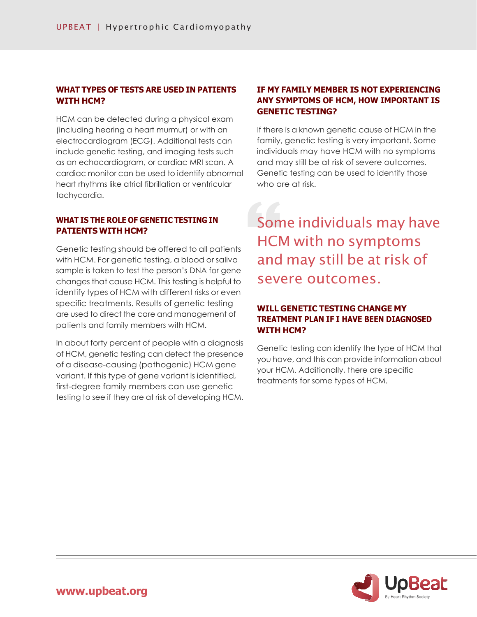# **WHAT TYPES OF TESTS ARE USED IN PATIENTS WITH HCM?**

HCM can be detected during a physical exam (including hearing a heart murmur) or with an electrocardiogram (ECG). Additional tests can include genetic testing, and imaging tests such as an echocardiogram, or cardiac MRI scan. A cardiac monitor can be used to identify abnormal heart rhythms like atrial fibrillation or ventricular tachycardia.

#### **WHAT IS THE ROLE OF GENETIC TESTING IN PATIENTS WITH HCM?**

Genetic testing should be offered to all patients with HCM. For genetic testing, a blood or saliva sample is taken to test the person's DNA for gene changes that cause HCM. This testing is helpful to identify types of HCM with different risks or even specific treatments. Results of genetic testing are used to direct the care and management of patients and family members with HCM.

In about forty percent of people with a diagnosis of HCM, genetic testing can detect the presence of a disease-causing (pathogenic) HCM gene variant. If this type of gene variant is identified, first-degree family members can use genetic testing to see if they are at risk of developing HCM.

# **IF MY FAMILY MEMBER IS NOT EXPERIENCING ANY SYMPTOMS OF HCM, HOW IMPORTANT IS GENETIC TESTING?**

If there is a known genetic cause of HCM in the family, genetic testing is very important. Some individuals may have HCM with no symptoms and may still be at risk of severe outcomes. Genetic testing can be used to identify those who are at risk.

Some individuals may have HCM with no symptoms and may still be at risk of severe outcomes.

# **WILL GENETIC TESTING CHANGE MY TREATMENT PLAN IF I HAVE BEEN DIAGNOSED WITH HCM?**

Genetic testing can identify the type of HCM that you have, and this can provide information about your HCM. Additionally, there are specific treatments for some types of HCM.